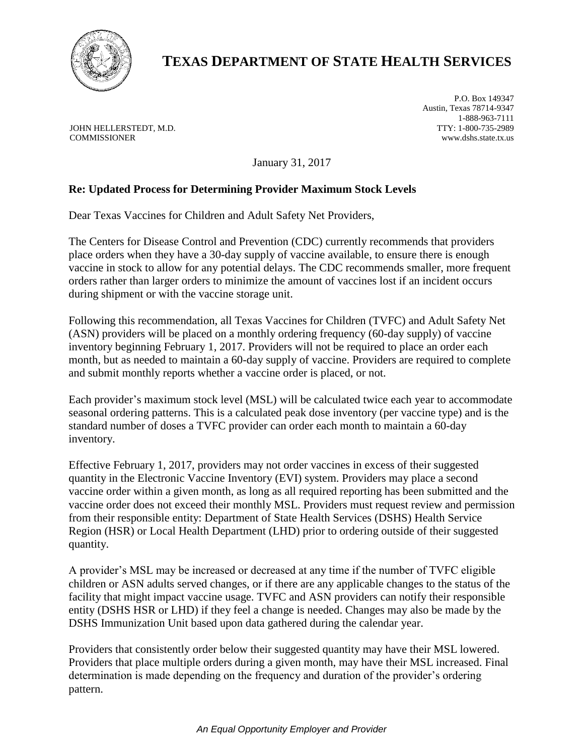

## **TEXAS DEPARTMENT OF STATE HEALTH SERVICES**

JOHN HELLERSTEDT, M.D. COMMISSIONER

P.O. Box 149347 Austin, Texas 78714-9347 1-888-963-7111 TTY: 1-800-735-2989 www.dshs.state.tx.us

January 31, 2017

## **Re: Updated Process for Determining Provider Maximum Stock Levels**

Dear Texas Vaccines for Children and Adult Safety Net Providers,

The Centers for Disease Control and Prevention (CDC) currently recommends that providers place orders when they have a 30-day supply of vaccine available, to ensure there is enough vaccine in stock to allow for any potential delays. The CDC recommends smaller, more frequent orders rather than larger orders to minimize the amount of vaccines lost if an incident occurs during shipment or with the vaccine storage unit.

Following this recommendation, all Texas Vaccines for Children (TVFC) and Adult Safety Net (ASN) providers will be placed on a monthly ordering frequency (60-day supply) of vaccine inventory beginning February 1, 2017. Providers will not be required to place an order each month, but as needed to maintain a 60-day supply of vaccine. Providers are required to complete and submit monthly reports whether a vaccine order is placed, or not.

Each provider's maximum stock level (MSL) will be calculated twice each year to accommodate seasonal ordering patterns. This is a calculated peak dose inventory (per vaccine type) and is the standard number of doses a TVFC provider can order each month to maintain a 60-day inventory.

Effective February 1, 2017, providers may not order vaccines in excess of their suggested quantity in the Electronic Vaccine Inventory (EVI) system. Providers may place a second vaccine order within a given month, as long as all required reporting has been submitted and the vaccine order does not exceed their monthly MSL. Providers must request review and permission from their responsible entity: Department of State Health Services (DSHS) Health Service Region (HSR) or Local Health Department (LHD) prior to ordering outside of their suggested quantity.

A provider's MSL may be increased or decreased at any time if the number of TVFC eligible children or ASN adults served changes, or if there are any applicable changes to the status of the facility that might impact vaccine usage. TVFC and ASN providers can notify their responsible entity (DSHS HSR or LHD) if they feel a change is needed. Changes may also be made by the DSHS Immunization Unit based upon data gathered during the calendar year.

Providers that consistently order below their suggested quantity may have their MSL lowered. Providers that place multiple orders during a given month, may have their MSL increased. Final determination is made depending on the frequency and duration of the provider's ordering pattern.